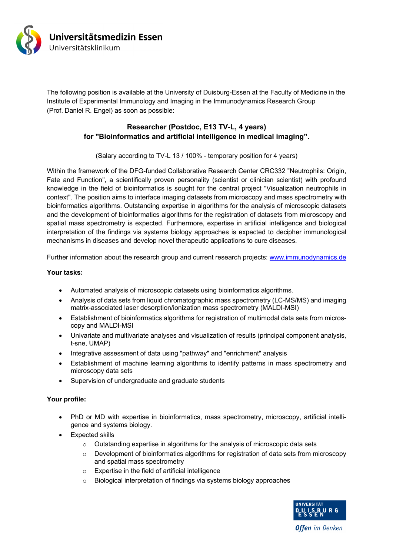

The following position is available at the University of Duisburg-Essen at the Faculty of Medicine in the Institute of Experimental Immunology and Imaging in the Immunodynamics Research Group (Prof. Daniel R. Engel) as soon as possible:

## **Researcher (Postdoc, E13 TV-L, 4 years) for "Bioinformatics and artificial intelligence in medical imaging".**

(Salary according to TV-L 13 / 100% - temporary position for 4 years)

Within the framework of the DFG-funded Collaborative Research Center CRC332 "Neutrophils: Origin, Fate and Function", a scientifically proven personality (scientist or clinician scientist) with profound knowledge in the field of bioinformatics is sought for the central project "Visualization neutrophils in context". The position aims to interface imaging datasets from microscopy and mass spectrometry with bioinformatics algorithms. Outstanding expertise in algorithms for the analysis of microscopic datasets and the development of bioinformatics algorithms for the registration of datasets from microscopy and spatial mass spectrometry is expected. Furthermore, expertise in artificial intelligence and biological interpretation of the findings via systems biology approaches is expected to decipher immunological mechanisms in diseases and develop novel therapeutic applications to cure diseases.

Further information about the research group and current research projects: www.immunodynamics.de

## **Your tasks:**

- Automated analysis of microscopic datasets using bioinformatics algorithms.
- Analysis of data sets from liquid chromatographic mass spectrometry (LC-MS/MS) and imaging matrix-associated laser desorption/ionization mass spectrometry (MALDI-MSI)
- Establishment of bioinformatics algorithms for registration of multimodal data sets from microscopy and MALDI-MSI
- Univariate and multivariate analyses and visualization of results (principal component analysis, t-sne, UMAP)
- Integrative assessment of data using "pathway" and "enrichment" analysis
- Establishment of machine learning algorithms to identify patterns in mass spectrometry and microscopy data sets
- Supervision of undergraduate and graduate students

## **Your profile:**

- PhD or MD with expertise in bioinformatics, mass spectrometry, microscopy, artificial intelligence and systems biology.
- Expected skills
	- o Outstanding expertise in algorithms for the analysis of microscopic data sets
	- $\circ$  Development of bioinformatics algorithms for registration of data sets from microscopy and spatial mass spectrometry
	- o Expertise in the field of artificial intelligence
	- o Biological interpretation of findings via systems biology approaches